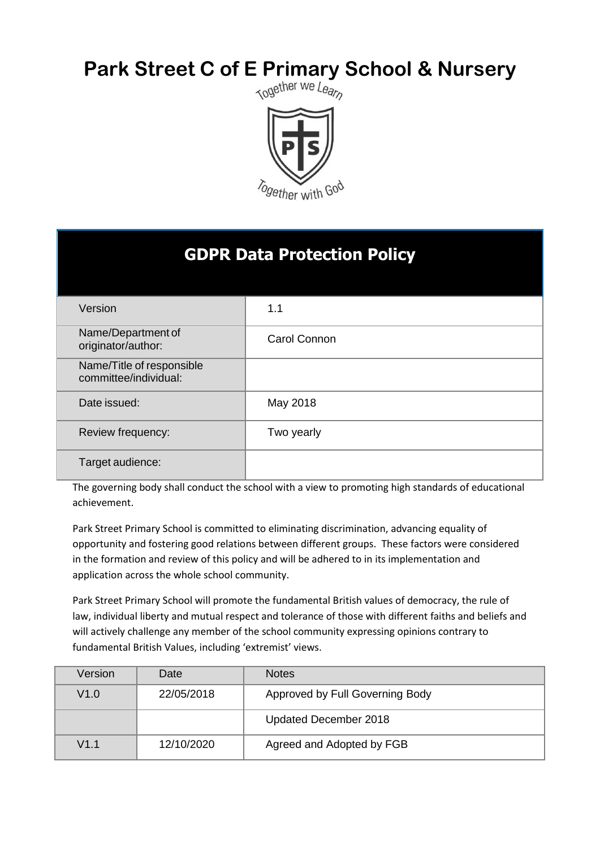# **Park Street C of E Primary School & Nursery**<br>Reset For the Market We Leapp



| <b>GDPR Data Protection Policy</b>                 |              |  |
|----------------------------------------------------|--------------|--|
| Version                                            | 1.1          |  |
| Name/Department of<br>originator/author:           | Carol Connon |  |
| Name/Title of responsible<br>committee/individual: |              |  |
| Date issued:                                       | May 2018     |  |
| Review frequency:                                  | Two yearly   |  |
| Target audience:                                   |              |  |

The governing body shall conduct the school with a view to promoting high standards of educational achievement.

Park Street Primary School is committed to eliminating discrimination, advancing equality of opportunity and fostering good relations between different groups. These factors were considered in the formation and review of this policy and will be adhered to in its implementation and application across the whole school community.

Park Street Primary School will promote the fundamental British values of democracy, the rule of law, individual liberty and mutual respect and tolerance of those with different faiths and beliefs and will actively challenge any member of the school community expressing opinions contrary to fundamental British Values, including 'extremist' views.

| Version | Date       | <b>Notes</b>                    |
|---------|------------|---------------------------------|
| V1.0    | 22/05/2018 | Approved by Full Governing Body |
|         |            | Updated December 2018           |
| V1.1    | 12/10/2020 | Agreed and Adopted by FGB       |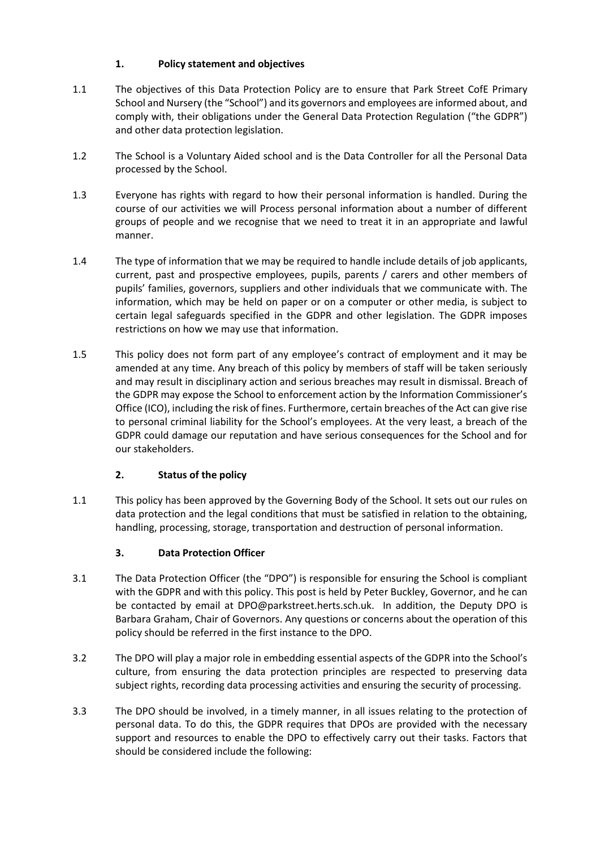# **1. Policy statement and objectives**

- 1.1 The objectives of this Data Protection Policy are to ensure that Park Street CofE Primary School and Nursery (the "School") and its governors and employees are informed about, and comply with, their obligations under the General Data Protection Regulation ("the GDPR") and other data protection legislation.
- 1.2 The School is a Voluntary Aided school and is the Data Controller for all the Personal Data processed by the School.
- 1.3 Everyone has rights with regard to how their personal information is handled. During the course of our activities we will Process personal information about a number of different groups of people and we recognise that we need to treat it in an appropriate and lawful manner.
- 1.4 The type of information that we may be required to handle include details of job applicants, current, past and prospective employees, pupils, parents / carers and other members of pupils' families, governors, suppliers and other individuals that we communicate with. The information, which may be held on paper or on a computer or other media, is subject to certain legal safeguards specified in the GDPR and other legislation. The GDPR imposes restrictions on how we may use that information.
- 1.5 This policy does not form part of any employee's contract of employment and it may be amended at any time. Any breach of this policy by members of staff will be taken seriously and may result in disciplinary action and serious breaches may result in dismissal. Breach of the GDPR may expose the School to enforcement action by the Information Commissioner's Office (ICO), including the risk of fines. Furthermore, certain breaches of the Act can give rise to personal criminal liability for the School's employees. At the very least, a breach of the GDPR could damage our reputation and have serious consequences for the School and for our stakeholders.

# **2. Status of the policy**

1.1 This policy has been approved by the Governing Body of the School. It sets out our rules on data protection and the legal conditions that must be satisfied in relation to the obtaining, handling, processing, storage, transportation and destruction of personal information.

# **3. Data Protection Officer**

- 3.1 The Data Protection Officer (the "DPO") is responsible for ensuring the School is compliant with the GDPR and with this policy. This post is held by Peter Buckley, Governor, and he can be contacted by email at DPO@parkstreet.herts.sch.uk. In addition, the Deputy DPO is Barbara Graham, Chair of Governors. Any questions or concerns about the operation of this policy should be referred in the first instance to the DPO.
- 3.2 The DPO will play a major role in embedding essential aspects of the GDPR into the School's culture, from ensuring the data protection principles are respected to preserving data subject rights, recording data processing activities and ensuring the security of processing.
- 3.3 The DPO should be involved, in a timely manner, in all issues relating to the protection of personal data. To do this, the GDPR requires that DPOs are provided with the necessary support and resources to enable the DPO to effectively carry out their tasks. Factors that should be considered include the following: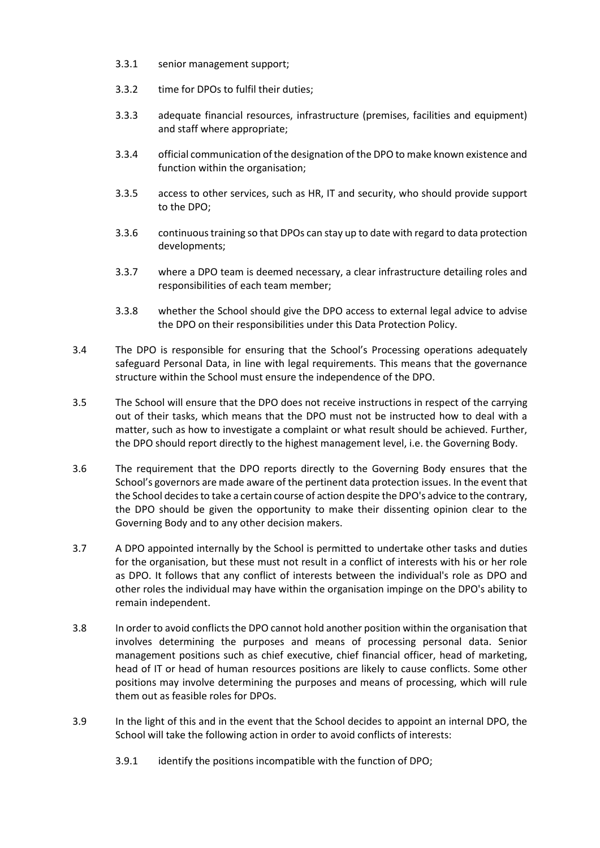- 3.3.1 senior management support;
- 3.3.2 time for DPOs to fulfil their duties;
- 3.3.3 adequate financial resources, infrastructure (premises, facilities and equipment) and staff where appropriate;
- 3.3.4 official communication of the designation of the DPO to make known existence and function within the organisation;
- 3.3.5 access to other services, such as HR, IT and security, who should provide support to the DPO;
- 3.3.6 continuous training so that DPOs can stay up to date with regard to data protection developments;
- 3.3.7 where a DPO team is deemed necessary, a clear infrastructure detailing roles and responsibilities of each team member;
- 3.3.8 whether the School should give the DPO access to external legal advice to advise the DPO on their responsibilities under this Data Protection Policy.
- 3.4 The DPO is responsible for ensuring that the School's Processing operations adequately safeguard Personal Data, in line with legal requirements. This means that the governance structure within the School must ensure the independence of the DPO.
- 3.5 The School will ensure that the DPO does not receive instructions in respect of the carrying out of their tasks, which means that the DPO must not be instructed how to deal with a matter, such as how to investigate a complaint or what result should be achieved. Further, the DPO should report directly to the highest management level, i.e. the Governing Body.
- 3.6 The requirement that the DPO reports directly to the Governing Body ensures that the School's governors are made aware of the pertinent data protection issues. In the event that the School decides to take a certain course of action despite the DPO's advice to the contrary, the DPO should be given the opportunity to make their dissenting opinion clear to the Governing Body and to any other decision makers.
- 3.7 A DPO appointed internally by the School is permitted to undertake other tasks and duties for the organisation, but these must not result in a conflict of interests with his or her role as DPO. It follows that any conflict of interests between the individual's role as DPO and other roles the individual may have within the organisation impinge on the DPO's ability to remain independent.
- 3.8 In order to avoid conflicts the DPO cannot hold another position within the organisation that involves determining the purposes and means of processing personal data. Senior management positions such as chief executive, chief financial officer, head of marketing, head of IT or head of human resources positions are likely to cause conflicts. Some other positions may involve determining the purposes and means of processing, which will rule them out as feasible roles for DPOs.
- 3.9 In the light of this and in the event that the School decides to appoint an internal DPO, the School will take the following action in order to avoid conflicts of interests:
	- 3.9.1 identify the positions incompatible with the function of DPO;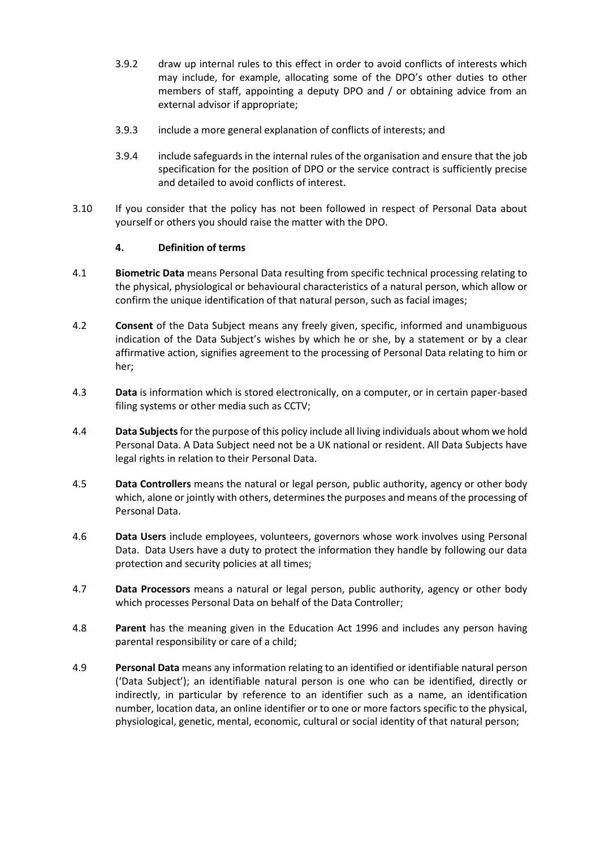- 3.9.2 draw up internal rules to this effect in order to avoid conflicts of interests which may include, for example, allocating some of the DPO's other duties to other members of staff, appointing a deputy DPO and / or obtaining advice from an external advisor if appropriate;
- 3.9.3 include a more general explanation of conflicts of interests; and
- 3.9.4 include safeguards in the internal rules of the organisation and ensure that the job specification for the position of DPO or the service contract is sufficiently precise and detailed to avoid conflicts of interest.
- 3.10 If you consider that the policy has not been followed in respect of Personal Data about yourself or others you should raise the matter with the DPO.

# **4. Definition of terms**

- 4.1 **Biometric Data** means Personal Data resulting from specific technical processing relating to the physical, physiological or behavioural characteristics of a natural person, which allow or confirm the unique identification of that natural person, such as facial images;
- 4.2 **Consent** of the Data Subject means any freely given, specific, informed and unambiguous indication of the Data Subject's wishes by which he or she, by a statement or by a clear affirmative action, signifies agreement to the processing of Personal Data relating to him or her;
- 4.3 **Data** is information which is stored electronically, on a computer, or in certain paper-based filing systems or other media such as CCTV;
- 4.4 **Data Subjects**for the purpose of this policy include all living individuals about whom we hold Personal Data. A Data Subject need not be a UK national or resident. All Data Subjects have legal rights in relation to their Personal Data.
- 4.5 **Data Controllers** means the natural or legal person, public authority, agency or other body which, alone or jointly with others, determines the purposes and means of the processing of Personal Data.
- 4.6 **Data Users** include employees, volunteers, governors whose work involves using Personal Data. Data Users have a duty to protect the information they handle by following our data protection and security policies at all times;
- 4.7 **Data Processors** means a natural or legal person, public authority, agency or other body which processes Personal Data on behalf of the Data Controller;
- 4.8 **Parent** has the meaning given in the Education Act 1996 and includes any person having parental responsibility or care of a child;
- 4.9 **Personal Data** means any information relating to an identified or identifiable natural person ('Data Subject'); an identifiable natural person is one who can be identified, directly or indirectly, in particular by reference to an identifier such as a name, an identification number, location data, an online identifier or to one or more factors specific to the physical, physiological, genetic, mental, economic, cultural or social identity of that natural person;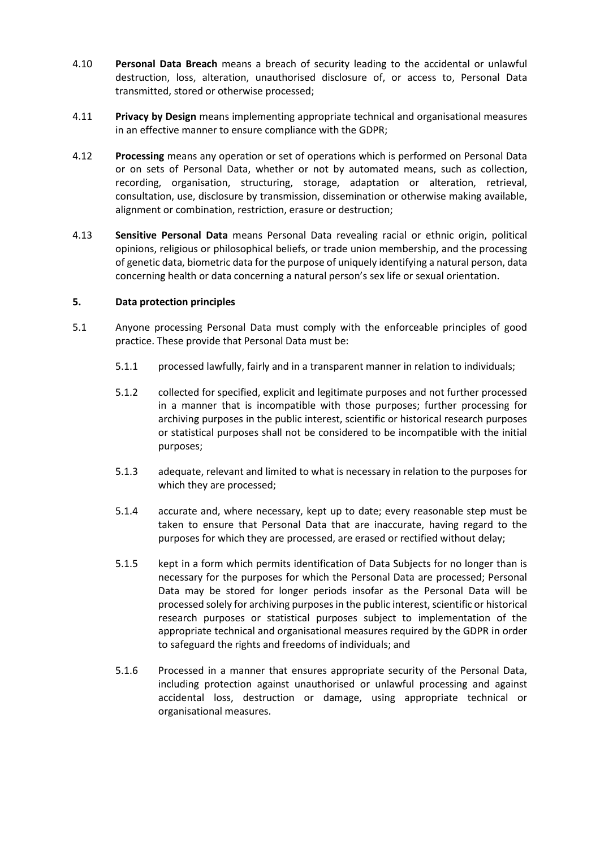- 4.10 **Personal Data Breach** means a breach of security leading to the accidental or unlawful destruction, loss, alteration, unauthorised disclosure of, or access to, Personal Data transmitted, stored or otherwise processed;
- 4.11 **Privacy by Design** means implementing appropriate technical and organisational measures in an effective manner to ensure compliance with the GDPR;
- 4.12 **Processing** means any operation or set of operations which is performed on Personal Data or on sets of Personal Data, whether or not by automated means, such as collection, recording, organisation, structuring, storage, adaptation or alteration, retrieval, consultation, use, disclosure by transmission, dissemination or otherwise making available, alignment or combination, restriction, erasure or destruction;
- 4.13 **Sensitive Personal Data** means Personal Data revealing racial or ethnic origin, political opinions, religious or philosophical beliefs, or trade union membership, and the processing of genetic data, biometric data for the purpose of uniquely identifying a natural person, data concerning health or data concerning a natural person's sex life or sexual orientation.

#### **5. Data protection principles**

- 5.1 Anyone processing Personal Data must comply with the enforceable principles of good practice. These provide that Personal Data must be:
	- 5.1.1 processed lawfully, fairly and in a transparent manner in relation to individuals;
	- 5.1.2 collected for specified, explicit and legitimate purposes and not further processed in a manner that is incompatible with those purposes; further processing for archiving purposes in the public interest, scientific or historical research purposes or statistical purposes shall not be considered to be incompatible with the initial purposes;
	- 5.1.3 adequate, relevant and limited to what is necessary in relation to the purposes for which they are processed;
	- 5.1.4 accurate and, where necessary, kept up to date; every reasonable step must be taken to ensure that Personal Data that are inaccurate, having regard to the purposes for which they are processed, are erased or rectified without delay;
	- 5.1.5 kept in a form which permits identification of Data Subjects for no longer than is necessary for the purposes for which the Personal Data are processed; Personal Data may be stored for longer periods insofar as the Personal Data will be processed solely for archiving purposes in the public interest, scientific or historical research purposes or statistical purposes subject to implementation of the appropriate technical and organisational measures required by the GDPR in order to safeguard the rights and freedoms of individuals; and
	- 5.1.6 Processed in a manner that ensures appropriate security of the Personal Data, including protection against unauthorised or unlawful processing and against accidental loss, destruction or damage, using appropriate technical or organisational measures.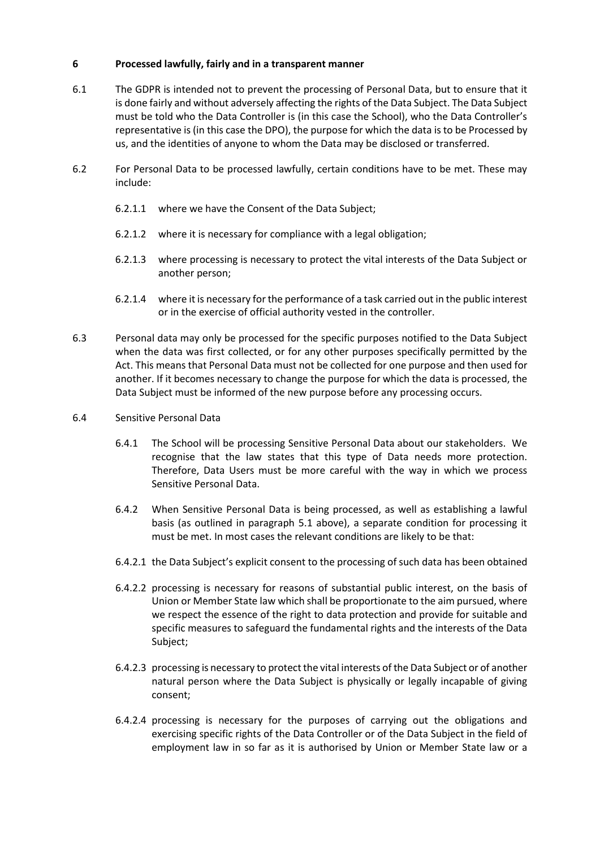## **6 Processed lawfully, fairly and in a transparent manner**

- 6.1 The GDPR is intended not to prevent the processing of Personal Data, but to ensure that it is done fairly and without adversely affecting the rights of the Data Subject. The Data Subject must be told who the Data Controller is (in this case the School), who the Data Controller's representative is (in this case the DPO), the purpose for which the data is to be Processed by us, and the identities of anyone to whom the Data may be disclosed or transferred.
- 6.2 For Personal Data to be processed lawfully, certain conditions have to be met. These may include:
	- 6.2.1.1 where we have the Consent of the Data Subject;
	- 6.2.1.2 where it is necessary for compliance with a legal obligation;
	- 6.2.1.3 where processing is necessary to protect the vital interests of the Data Subject or another person;
	- 6.2.1.4 where it is necessary for the performance of a task carried out in the public interest or in the exercise of official authority vested in the controller.
- 6.3 Personal data may only be processed for the specific purposes notified to the Data Subject when the data was first collected, or for any other purposes specifically permitted by the Act. This means that Personal Data must not be collected for one purpose and then used for another. If it becomes necessary to change the purpose for which the data is processed, the Data Subject must be informed of the new purpose before any processing occurs.
- 6.4 Sensitive Personal Data
	- 6.4.1 The School will be processing Sensitive Personal Data about our stakeholders. We recognise that the law states that this type of Data needs more protection. Therefore, Data Users must be more careful with the way in which we process Sensitive Personal Data.
	- 6.4.2 When Sensitive Personal Data is being processed, as well as establishing a lawful basis (as outlined in paragraph 5.1 above), a separate condition for processing it must be met. In most cases the relevant conditions are likely to be that:
	- 6.4.2.1 the Data Subject's explicit consent to the processing of such data has been obtained
	- 6.4.2.2 processing is necessary for reasons of substantial public interest, on the basis of Union or Member State law which shall be proportionate to the aim pursued, where we respect the essence of the right to data protection and provide for suitable and specific measures to safeguard the fundamental rights and the interests of the Data Subject;
	- 6.4.2.3 processing is necessary to protect the vital interests of the Data Subject or of another natural person where the Data Subject is physically or legally incapable of giving consent;
	- 6.4.2.4 processing is necessary for the purposes of carrying out the obligations and exercising specific rights of the Data Controller or of the Data Subject in the field of employment law in so far as it is authorised by Union or Member State law or a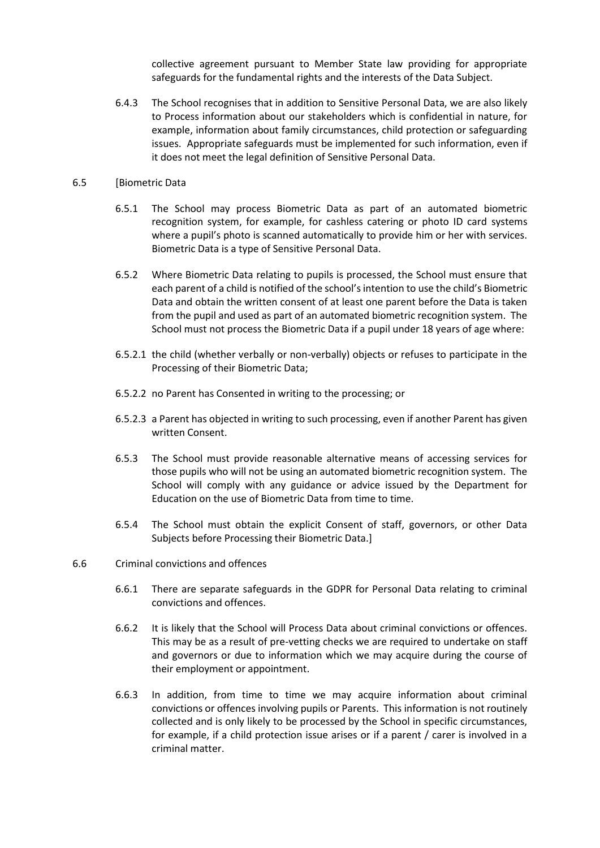collective agreement pursuant to Member State law providing for appropriate safeguards for the fundamental rights and the interests of the Data Subject.

6.4.3 The School recognises that in addition to Sensitive Personal Data, we are also likely to Process information about our stakeholders which is confidential in nature, for example, information about family circumstances, child protection or safeguarding issues. Appropriate safeguards must be implemented for such information, even if it does not meet the legal definition of Sensitive Personal Data.

#### 6.5 [Biometric Data

- 6.5.1 The School may process Biometric Data as part of an automated biometric recognition system, for example, for cashless catering or photo ID card systems where a pupil's photo is scanned automatically to provide him or her with services. Biometric Data is a type of Sensitive Personal Data.
- 6.5.2 Where Biometric Data relating to pupils is processed, the School must ensure that each parent of a child is notified of the school's intention to use the child's Biometric Data and obtain the written consent of at least one parent before the Data is taken from the pupil and used as part of an automated biometric recognition system. The School must not process the Biometric Data if a pupil under 18 years of age where:
- 6.5.2.1 the child (whether verbally or non-verbally) objects or refuses to participate in the Processing of their Biometric Data;
- 6.5.2.2 no Parent has Consented in writing to the processing; or
- 6.5.2.3 a Parent has objected in writing to such processing, even if another Parent has given written Consent.
- 6.5.3 The School must provide reasonable alternative means of accessing services for those pupils who will not be using an automated biometric recognition system. The School will comply with any guidance or advice issued by the Department for Education on the use of Biometric Data from time to time.
- 6.5.4 The School must obtain the explicit Consent of staff, governors, or other Data Subjects before Processing their Biometric Data.]

#### 6.6 Criminal convictions and offences

- 6.6.1 There are separate safeguards in the GDPR for Personal Data relating to criminal convictions and offences.
- 6.6.2 It is likely that the School will Process Data about criminal convictions or offences. This may be as a result of pre-vetting checks we are required to undertake on staff and governors or due to information which we may acquire during the course of their employment or appointment.
- 6.6.3 In addition, from time to time we may acquire information about criminal convictions or offences involving pupils or Parents. This information is not routinely collected and is only likely to be processed by the School in specific circumstances, for example, if a child protection issue arises or if a parent / carer is involved in a criminal matter.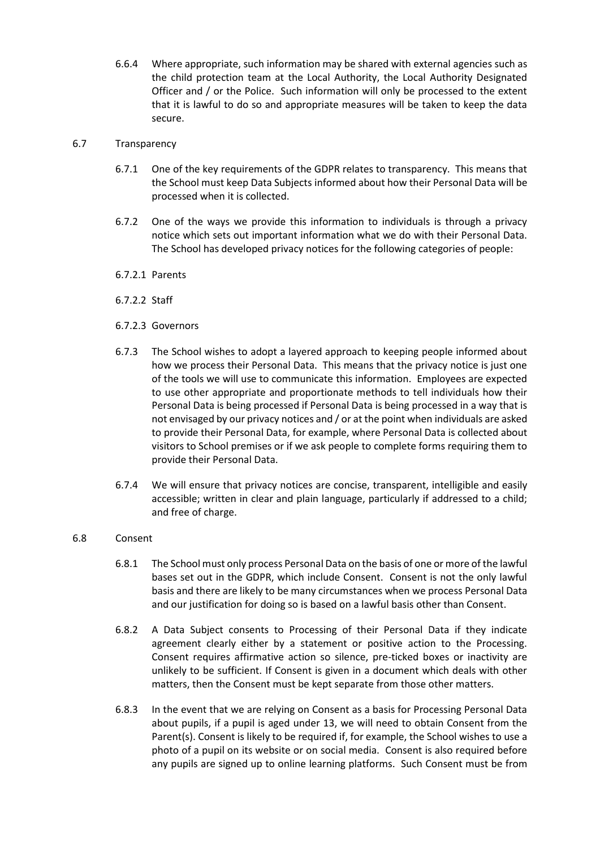6.6.4 Where appropriate, such information may be shared with external agencies such as the child protection team at the Local Authority, the Local Authority Designated Officer and / or the Police. Such information will only be processed to the extent that it is lawful to do so and appropriate measures will be taken to keep the data secure.

## 6.7 Transparency

- 6.7.1 One of the key requirements of the GDPR relates to transparency. This means that the School must keep Data Subjects informed about how their Personal Data will be processed when it is collected.
- 6.7.2 One of the ways we provide this information to individuals is through a privacy notice which sets out important information what we do with their Personal Data. The School has developed privacy notices for the following categories of people:
- 6.7.2.1 Parents
- 6.7.2.2 Staff
- 6.7.2.3 Governors
- 6.7.3 The School wishes to adopt a layered approach to keeping people informed about how we process their Personal Data. This means that the privacy notice is just one of the tools we will use to communicate this information. Employees are expected to use other appropriate and proportionate methods to tell individuals how their Personal Data is being processed if Personal Data is being processed in a way that is not envisaged by our privacy notices and / or at the point when individuals are asked to provide their Personal Data, for example, where Personal Data is collected about visitors to School premises or if we ask people to complete forms requiring them to provide their Personal Data.
- 6.7.4 We will ensure that privacy notices are concise, transparent, intelligible and easily accessible; written in clear and plain language, particularly if addressed to a child; and free of charge.
- 6.8 Consent
	- 6.8.1 The School must only process Personal Data on the basis of one or more of the lawful bases set out in the GDPR, which include Consent. Consent is not the only lawful basis and there are likely to be many circumstances when we process Personal Data and our justification for doing so is based on a lawful basis other than Consent.
	- 6.8.2 A Data Subject consents to Processing of their Personal Data if they indicate agreement clearly either by a statement or positive action to the Processing. Consent requires affirmative action so silence, pre-ticked boxes or inactivity are unlikely to be sufficient. If Consent is given in a document which deals with other matters, then the Consent must be kept separate from those other matters.
	- 6.8.3 In the event that we are relying on Consent as a basis for Processing Personal Data about pupils, if a pupil is aged under 13, we will need to obtain Consent from the Parent(s). Consent is likely to be required if, for example, the School wishes to use a photo of a pupil on its website or on social media. Consent is also required before any pupils are signed up to online learning platforms. Such Consent must be from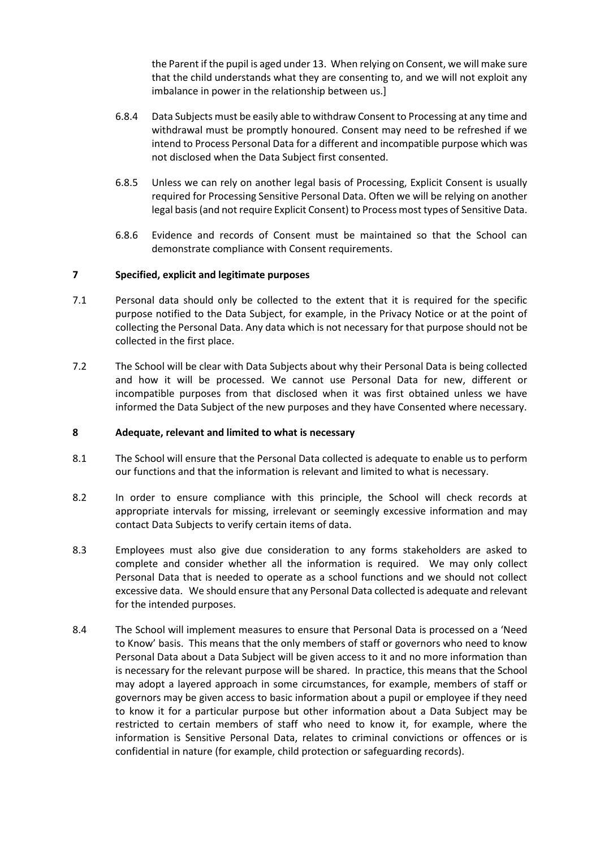the Parent if the pupil is aged under 13. When relying on Consent, we will make sure that the child understands what they are consenting to, and we will not exploit any imbalance in power in the relationship between us.]

- 6.8.4 Data Subjects must be easily able to withdraw Consent to Processing at any time and withdrawal must be promptly honoured. Consent may need to be refreshed if we intend to Process Personal Data for a different and incompatible purpose which was not disclosed when the Data Subject first consented.
- 6.8.5 Unless we can rely on another legal basis of Processing, Explicit Consent is usually required for Processing Sensitive Personal Data. Often we will be relying on another legal basis (and not require Explicit Consent) to Process most types of Sensitive Data.
- 6.8.6 Evidence and records of Consent must be maintained so that the School can demonstrate compliance with Consent requirements.

#### **7 Specified, explicit and legitimate purposes**

- 7.1 Personal data should only be collected to the extent that it is required for the specific purpose notified to the Data Subject, for example, in the Privacy Notice or at the point of collecting the Personal Data. Any data which is not necessary for that purpose should not be collected in the first place.
- 7.2 The School will be clear with Data Subjects about why their Personal Data is being collected and how it will be processed. We cannot use Personal Data for new, different or incompatible purposes from that disclosed when it was first obtained unless we have informed the Data Subject of the new purposes and they have Consented where necessary.

#### **8 Adequate, relevant and limited to what is necessary**

- 8.1 The School will ensure that the Personal Data collected is adequate to enable us to perform our functions and that the information is relevant and limited to what is necessary.
- 8.2 In order to ensure compliance with this principle, the School will check records at appropriate intervals for missing, irrelevant or seemingly excessive information and may contact Data Subjects to verify certain items of data.
- 8.3 Employees must also give due consideration to any forms stakeholders are asked to complete and consider whether all the information is required. We may only collect Personal Data that is needed to operate as a school functions and we should not collect excessive data. We should ensure that any Personal Data collected is adequate and relevant for the intended purposes.
- 8.4 The School will implement measures to ensure that Personal Data is processed on a 'Need to Know' basis. This means that the only members of staff or governors who need to know Personal Data about a Data Subject will be given access to it and no more information than is necessary for the relevant purpose will be shared. In practice, this means that the School may adopt a layered approach in some circumstances, for example, members of staff or governors may be given access to basic information about a pupil or employee if they need to know it for a particular purpose but other information about a Data Subject may be restricted to certain members of staff who need to know it, for example, where the information is Sensitive Personal Data, relates to criminal convictions or offences or is confidential in nature (for example, child protection or safeguarding records).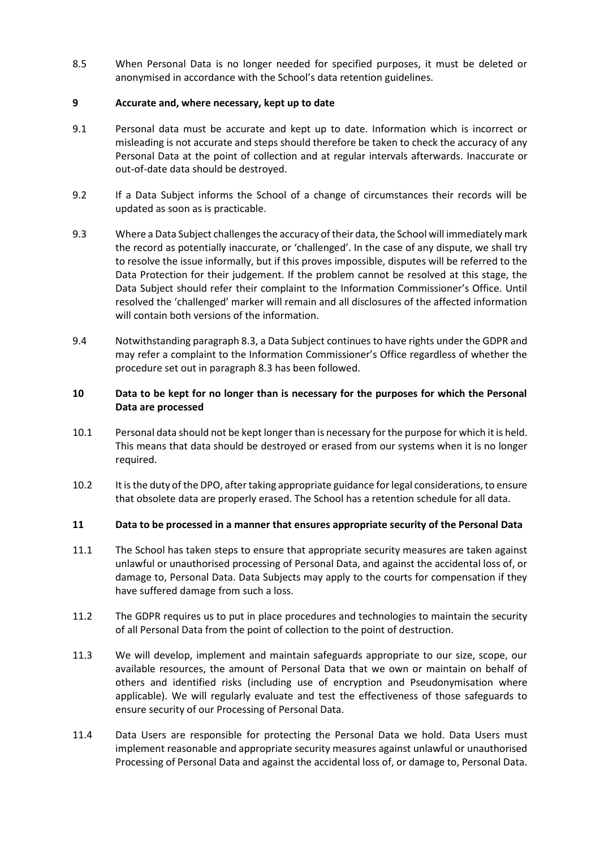8.5 When Personal Data is no longer needed for specified purposes, it must be deleted or anonymised in accordance with the School's data retention guidelines.

# **9 Accurate and, where necessary, kept up to date**

- 9.1 Personal data must be accurate and kept up to date. Information which is incorrect or misleading is not accurate and steps should therefore be taken to check the accuracy of any Personal Data at the point of collection and at regular intervals afterwards. Inaccurate or out-of-date data should be destroyed.
- 9.2 If a Data Subject informs the School of a change of circumstances their records will be updated as soon as is practicable.
- 9.3 Where a Data Subject challenges the accuracy of their data, the School will immediately mark the record as potentially inaccurate, or 'challenged'. In the case of any dispute, we shall try to resolve the issue informally, but if this proves impossible, disputes will be referred to the Data Protection for their judgement. If the problem cannot be resolved at this stage, the Data Subject should refer their complaint to the Information Commissioner's Office. Until resolved the 'challenged' marker will remain and all disclosures of the affected information will contain both versions of the information.
- 9.4 Notwithstanding paragraph 8.3, a Data Subject continues to have rights under the GDPR and may refer a complaint to the Information Commissioner's Office regardless of whether the procedure set out in paragraph 8.3 has been followed.

# **10 Data to be kept for no longer than is necessary for the purposes for which the Personal Data are processed**

- 10.1 Personal data should not be kept longer than is necessary for the purpose for which it is held. This means that data should be destroyed or erased from our systems when it is no longer required.
- 10.2 It is the duty of the DPO, after taking appropriate guidance for legal considerations, to ensure that obsolete data are properly erased. The School has a retention schedule for all data.

# **11 Data to be processed in a manner that ensures appropriate security of the Personal Data**

- 11.1 The School has taken steps to ensure that appropriate security measures are taken against unlawful or unauthorised processing of Personal Data, and against the accidental loss of, or damage to, Personal Data. Data Subjects may apply to the courts for compensation if they have suffered damage from such a loss.
- 11.2 The GDPR requires us to put in place procedures and technologies to maintain the security of all Personal Data from the point of collection to the point of destruction.
- 11.3 We will develop, implement and maintain safeguards appropriate to our size, scope, our available resources, the amount of Personal Data that we own or maintain on behalf of others and identified risks (including use of encryption and Pseudonymisation where applicable). We will regularly evaluate and test the effectiveness of those safeguards to ensure security of our Processing of Personal Data.
- 11.4 Data Users are responsible for protecting the Personal Data we hold. Data Users must implement reasonable and appropriate security measures against unlawful or unauthorised Processing of Personal Data and against the accidental loss of, or damage to, Personal Data.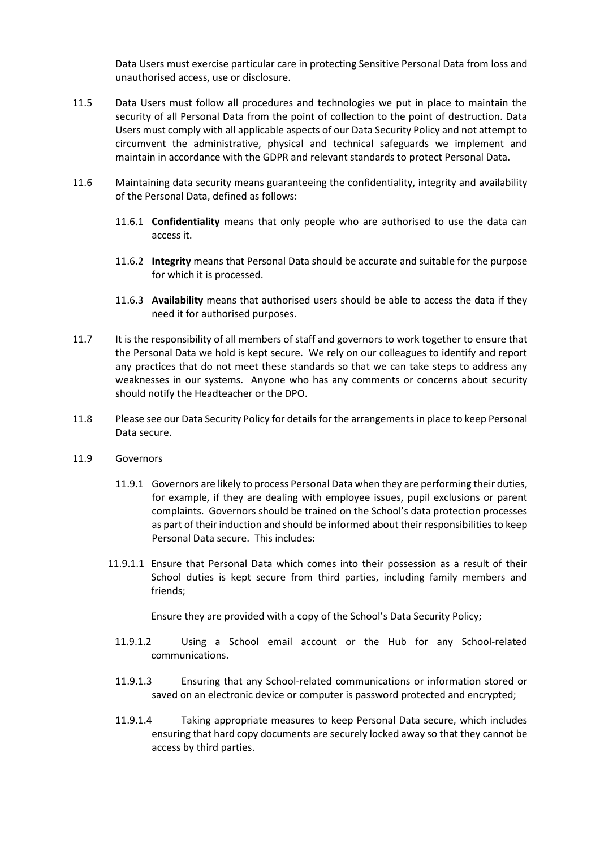Data Users must exercise particular care in protecting Sensitive Personal Data from loss and unauthorised access, use or disclosure.

- 11.5 Data Users must follow all procedures and technologies we put in place to maintain the security of all Personal Data from the point of collection to the point of destruction. Data Users must comply with all applicable aspects of our Data Security Policy and not attempt to circumvent the administrative, physical and technical safeguards we implement and maintain in accordance with the GDPR and relevant standards to protect Personal Data.
- 11.6 Maintaining data security means guaranteeing the confidentiality, integrity and availability of the Personal Data, defined as follows:
	- 11.6.1 **Confidentiality** means that only people who are authorised to use the data can access it.
	- 11.6.2 **Integrity** means that Personal Data should be accurate and suitable for the purpose for which it is processed.
	- 11.6.3 **Availability** means that authorised users should be able to access the data if they need it for authorised purposes.
- 11.7 It is the responsibility of all members of staff and governors to work together to ensure that the Personal Data we hold is kept secure. We rely on our colleagues to identify and report any practices that do not meet these standards so that we can take steps to address any weaknesses in our systems. Anyone who has any comments or concerns about security should notify the Headteacher or the DPO.
- 11.8 Please see our Data Security Policy for details for the arrangements in place to keep Personal Data secure.
- 11.9 Governors
	- 11.9.1 Governors are likely to process Personal Data when they are performing their duties, for example, if they are dealing with employee issues, pupil exclusions or parent complaints. Governors should be trained on the School's data protection processes as part of their induction and should be informed about their responsibilities to keep Personal Data secure. This includes:
	- 11.9.1.1 Ensure that Personal Data which comes into their possession as a result of their School duties is kept secure from third parties, including family members and friends;

Ensure they are provided with a copy of the School's Data Security Policy;

- 11.9.1.2 Using a School email account or the Hub for any School-related communications.
- 11.9.1.3 Ensuring that any School-related communications or information stored or saved on an electronic device or computer is password protected and encrypted;
- 11.9.1.4 Taking appropriate measures to keep Personal Data secure, which includes ensuring that hard copy documents are securely locked away so that they cannot be access by third parties.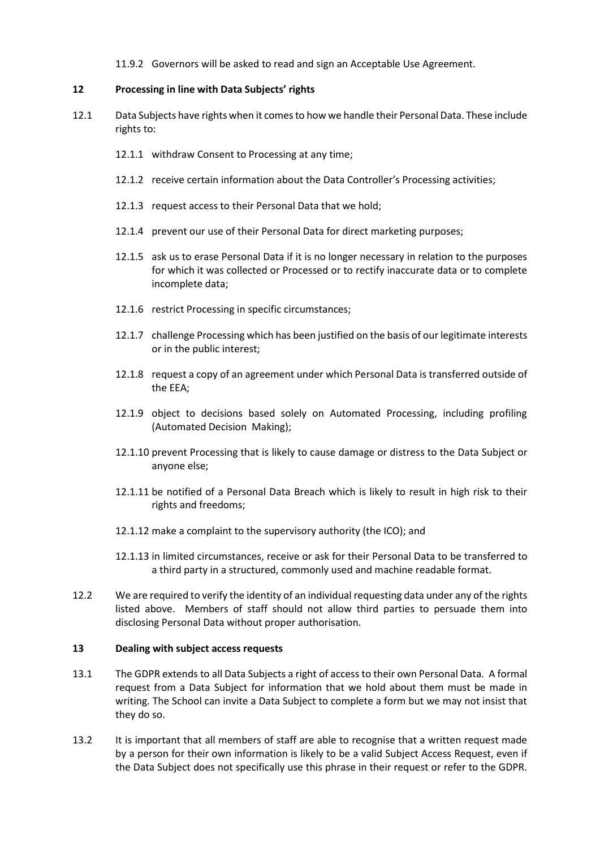11.9.2 Governors will be asked to read and sign an Acceptable Use Agreement.

#### **12 Processing in line with Data Subjects' rights**

- 12.1 Data Subjects have rights when it comes to how we handle their Personal Data. These include rights to:
	- 12.1.1 withdraw Consent to Processing at any time;
	- 12.1.2 receive certain information about the Data Controller's Processing activities;
	- 12.1.3 request access to their Personal Data that we hold;
	- 12.1.4 prevent our use of their Personal Data for direct marketing purposes;
	- 12.1.5 ask us to erase Personal Data if it is no longer necessary in relation to the purposes for which it was collected or Processed or to rectify inaccurate data or to complete incomplete data;
	- 12.1.6 restrict Processing in specific circumstances;
	- 12.1.7 challenge Processing which has been justified on the basis of our legitimate interests or in the public interest;
	- 12.1.8 request a copy of an agreement under which Personal Data is transferred outside of the EEA;
	- 12.1.9 object to decisions based solely on Automated Processing, including profiling (Automated Decision Making);
	- 12.1.10 prevent Processing that is likely to cause damage or distress to the Data Subject or anyone else;
	- 12.1.11 be notified of a Personal Data Breach which is likely to result in high risk to their rights and freedoms;
	- 12.1.12 make a complaint to the supervisory authority (the ICO); and
	- 12.1.13 in limited circumstances, receive or ask for their Personal Data to be transferred to a third party in a structured, commonly used and machine readable format.
- 12.2 We are required to verify the identity of an individual requesting data under any of the rights listed above. Members of staff should not allow third parties to persuade them into disclosing Personal Data without proper authorisation.

#### **13 Dealing with subject access requests**

- 13.1 The GDPR extends to all Data Subjects a right of access to their own Personal Data. A formal request from a Data Subject for information that we hold about them must be made in writing. The School can invite a Data Subject to complete a form but we may not insist that they do so.
- 13.2 It is important that all members of staff are able to recognise that a written request made by a person for their own information is likely to be a valid Subject Access Request, even if the Data Subject does not specifically use this phrase in their request or refer to the GDPR.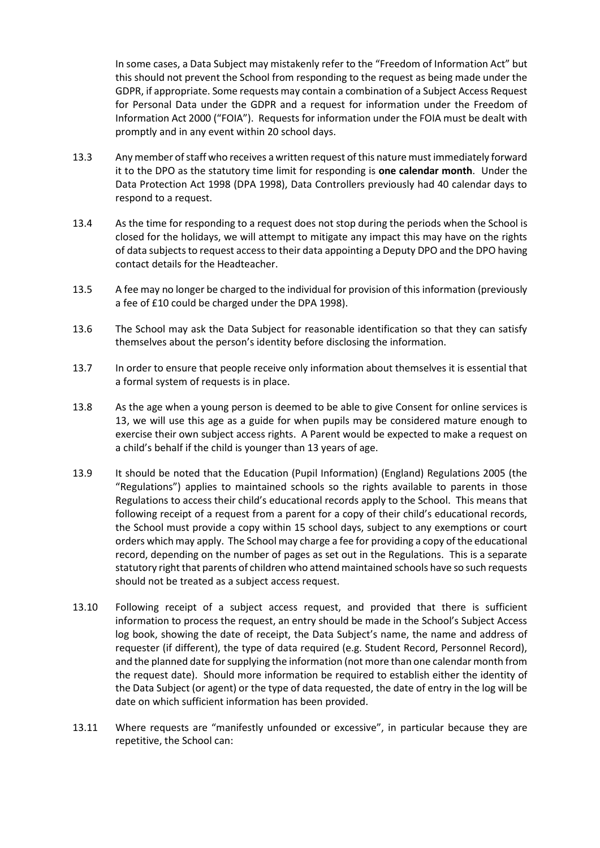In some cases, a Data Subject may mistakenly refer to the "Freedom of Information Act" but this should not prevent the School from responding to the request as being made under the GDPR, if appropriate. Some requests may contain a combination of a Subject Access Request for Personal Data under the GDPR and a request for information under the Freedom of Information Act 2000 ("FOIA"). Requests for information under the FOIA must be dealt with promptly and in any event within 20 school days.

- 13.3 Any member of staff who receives a written request of this nature must immediately forward it to the DPO as the statutory time limit for responding is **one calendar month**. Under the Data Protection Act 1998 (DPA 1998), Data Controllers previously had 40 calendar days to respond to a request.
- 13.4 As the time for responding to a request does not stop during the periods when the School is closed for the holidays, we will attempt to mitigate any impact this may have on the rights of data subjects to request access to their data appointing a Deputy DPO and the DPO having contact details for the Headteacher.
- 13.5 A fee may no longer be charged to the individual for provision of this information (previously a fee of £10 could be charged under the DPA 1998).
- 13.6 The School may ask the Data Subject for reasonable identification so that they can satisfy themselves about the person's identity before disclosing the information.
- 13.7 In order to ensure that people receive only information about themselves it is essential that a formal system of requests is in place.
- 13.8 As the age when a young person is deemed to be able to give Consent for online services is 13, we will use this age as a guide for when pupils may be considered mature enough to exercise their own subject access rights. A Parent would be expected to make a request on a child's behalf if the child is younger than 13 years of age.
- 13.9 It should be noted that the Education (Pupil Information) (England) Regulations 2005 (the "Regulations") applies to maintained schools so the rights available to parents in those Regulations to access their child's educational records apply to the School. This means that following receipt of a request from a parent for a copy of their child's educational records, the School must provide a copy within 15 school days, subject to any exemptions or court orders which may apply. The School may charge a fee for providing a copy of the educational record, depending on the number of pages as set out in the Regulations. This is a separate statutory right that parents of children who attend maintained schools have so such requests should not be treated as a subject access request.
- 13.10 Following receipt of a subject access request, and provided that there is sufficient information to process the request, an entry should be made in the School's Subject Access log book, showing the date of receipt, the Data Subject's name, the name and address of requester (if different), the type of data required (e.g. Student Record, Personnel Record), and the planned date for supplying the information (not more than one calendar month from the request date). Should more information be required to establish either the identity of the Data Subject (or agent) or the type of data requested, the date of entry in the log will be date on which sufficient information has been provided.
- 13.11 Where requests are "manifestly unfounded or excessive", in particular because they are repetitive, the School can: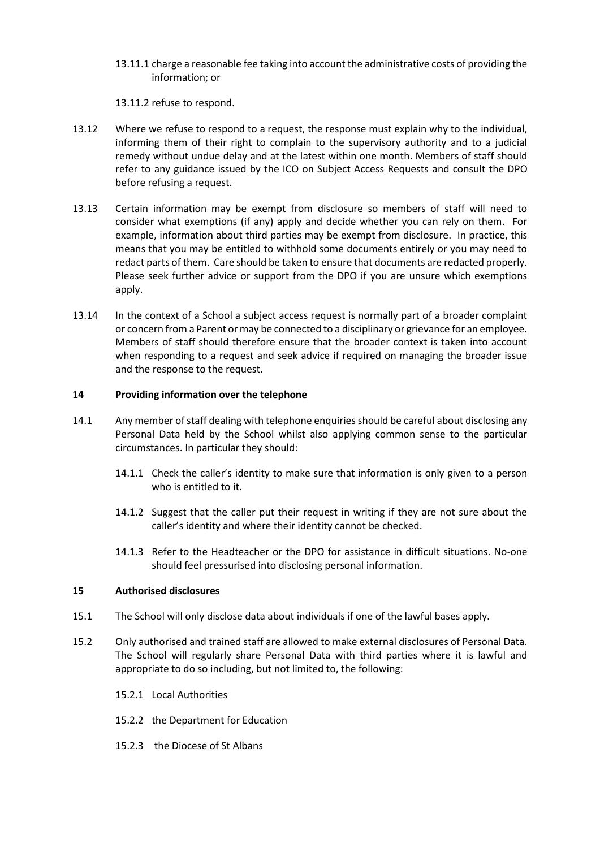13.11.1 charge a reasonable fee taking into account the administrative costs of providing the information; or

13.11.2 refuse to respond.

- 13.12 Where we refuse to respond to a request, the response must explain why to the individual, informing them of their right to complain to the supervisory authority and to a judicial remedy without undue delay and at the latest within one month. Members of staff should refer to any guidance issued by the ICO on Subject Access Requests and consult the DPO before refusing a request.
- 13.13 Certain information may be exempt from disclosure so members of staff will need to consider what exemptions (if any) apply and decide whether you can rely on them. For example, information about third parties may be exempt from disclosure. In practice, this means that you may be entitled to withhold some documents entirely or you may need to redact parts of them. Care should be taken to ensure that documents are redacted properly. Please seek further advice or support from the DPO if you are unsure which exemptions apply.
- 13.14 In the context of a School a subject access request is normally part of a broader complaint or concern from a Parent or may be connected to a disciplinary or grievance for an employee. Members of staff should therefore ensure that the broader context is taken into account when responding to a request and seek advice if required on managing the broader issue and the response to the request.

# **14 Providing information over the telephone**

- 14.1 Any member of staff dealing with telephone enquiries should be careful about disclosing any Personal Data held by the School whilst also applying common sense to the particular circumstances. In particular they should:
	- 14.1.1 Check the caller's identity to make sure that information is only given to a person who is entitled to it.
	- 14.1.2 Suggest that the caller put their request in writing if they are not sure about the caller's identity and where their identity cannot be checked.
	- 14.1.3 Refer to the Headteacher or the DPO for assistance in difficult situations. No-one should feel pressurised into disclosing personal information.

#### **15 Authorised disclosures**

- 15.1 The School will only disclose data about individuals if one of the lawful bases apply.
- 15.2 Only authorised and trained staff are allowed to make external disclosures of Personal Data. The School will regularly share Personal Data with third parties where it is lawful and appropriate to do so including, but not limited to, the following:
	- 15.2.1 Local Authorities
	- 15.2.2 the Department for Education
	- 15.2.3 the Diocese of St Albans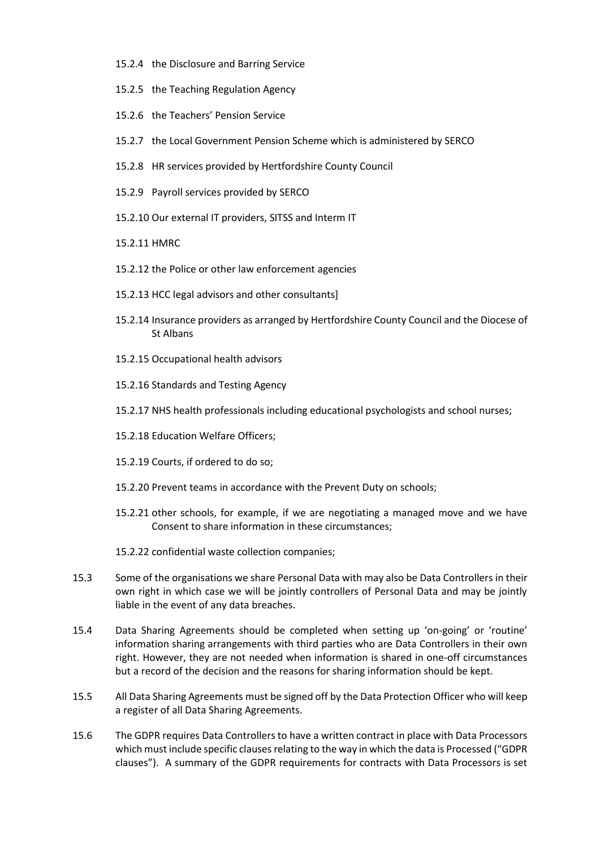- 15.2.4 the Disclosure and Barring Service
- 15.2.5 the Teaching Regulation Agency
- 15.2.6 the Teachers' Pension Service
- 15.2.7 the Local Government Pension Scheme which is administered by SERCO
- 15.2.8 HR services provided by Hertfordshire County Council
- 15.2.9 Payroll services provided by SERCO
- 15.2.10 Our external IT providers, SITSS and Interm IT
- 15.2.11 HMRC
- 15.2.12 the Police or other law enforcement agencies
- 15.2.13 HCC legal advisors and other consultants]
- 15.2.14 Insurance providers as arranged by Hertfordshire County Council and the Diocese of St Albans
- 15.2.15 Occupational health advisors
- 15.2.16 Standards and Testing Agency
- 15.2.17 NHS health professionals including educational psychologists and school nurses;
- 15.2.18 Education Welfare Officers;
- 15.2.19 Courts, if ordered to do so;
- 15.2.20 Prevent teams in accordance with the Prevent Duty on schools;
- 15.2.21 other schools, for example, if we are negotiating a managed move and we have Consent to share information in these circumstances;
- 15.2.22 confidential waste collection companies;
- 15.3 Some of the organisations we share Personal Data with may also be Data Controllers in their own right in which case we will be jointly controllers of Personal Data and may be jointly liable in the event of any data breaches.
- 15.4 Data Sharing Agreements should be completed when setting up 'on-going' or 'routine' information sharing arrangements with third parties who are Data Controllers in their own right. However, they are not needed when information is shared in one-off circumstances but a record of the decision and the reasons for sharing information should be kept.
- 15.5 All Data Sharing Agreements must be signed off by the Data Protection Officer who will keep a register of all Data Sharing Agreements.
- 15.6 The GDPR requires Data Controllers to have a written contract in place with Data Processors which must include specific clauses relating to the way in which the data is Processed ("GDPR clauses"). A summary of the GDPR requirements for contracts with Data Processors is set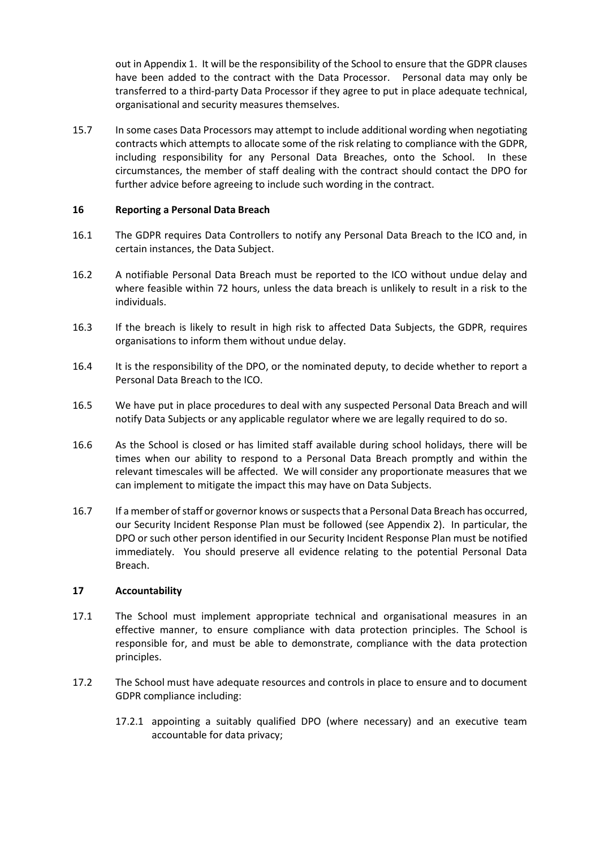out in Appendix 1. It will be the responsibility of the School to ensure that the GDPR clauses have been added to the contract with the Data Processor. Personal data may only be transferred to a third-party Data Processor if they agree to put in place adequate technical, organisational and security measures themselves.

15.7 In some cases Data Processors may attempt to include additional wording when negotiating contracts which attempts to allocate some of the risk relating to compliance with the GDPR, including responsibility for any Personal Data Breaches, onto the School. In these circumstances, the member of staff dealing with the contract should contact the DPO for further advice before agreeing to include such wording in the contract.

## **16 Reporting a Personal Data Breach**

- 16.1 The GDPR requires Data Controllers to notify any Personal Data Breach to the ICO and, in certain instances, the Data Subject.
- 16.2 A notifiable Personal Data Breach must be reported to the ICO without undue delay and where feasible within 72 hours, unless the data breach is unlikely to result in a risk to the individuals.
- 16.3 If the breach is likely to result in high risk to affected Data Subjects, the GDPR, requires organisations to inform them without undue delay.
- 16.4 It is the responsibility of the DPO, or the nominated deputy, to decide whether to report a Personal Data Breach to the ICO.
- 16.5 We have put in place procedures to deal with any suspected Personal Data Breach and will notify Data Subjects or any applicable regulator where we are legally required to do so.
- 16.6 As the School is closed or has limited staff available during school holidays, there will be times when our ability to respond to a Personal Data Breach promptly and within the relevant timescales will be affected. We will consider any proportionate measures that we can implement to mitigate the impact this may have on Data Subjects.
- 16.7 If a member of staff or governor knows or suspects that a Personal Data Breach has occurred, our Security Incident Response Plan must be followed (see Appendix 2). In particular, the DPO or such other person identified in our Security Incident Response Plan must be notified immediately. You should preserve all evidence relating to the potential Personal Data Breach.

#### **17 Accountability**

- 17.1 The School must implement appropriate technical and organisational measures in an effective manner, to ensure compliance with data protection principles. The School is responsible for, and must be able to demonstrate, compliance with the data protection principles.
- 17.2 The School must have adequate resources and controls in place to ensure and to document GDPR compliance including:
	- 17.2.1 appointing a suitably qualified DPO (where necessary) and an executive team accountable for data privacy;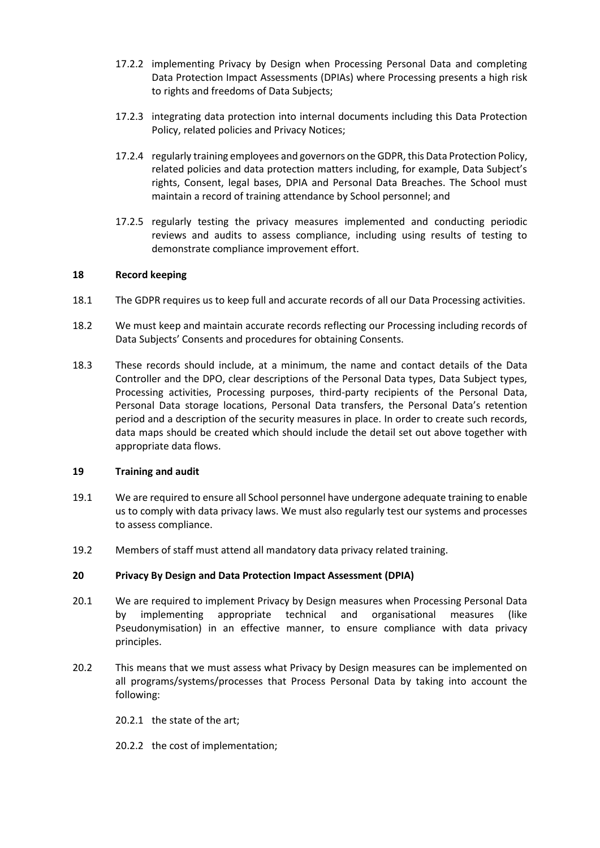- 17.2.2 implementing Privacy by Design when Processing Personal Data and completing Data Protection Impact Assessments (DPIAs) where Processing presents a high risk to rights and freedoms of Data Subjects;
- 17.2.3 integrating data protection into internal documents including this Data Protection Policy, related policies and Privacy Notices;
- 17.2.4 regularly training employees and governors on the GDPR, this Data Protection Policy, related policies and data protection matters including, for example, Data Subject's rights, Consent, legal bases, DPIA and Personal Data Breaches. The School must maintain a record of training attendance by School personnel; and
- 17.2.5 regularly testing the privacy measures implemented and conducting periodic reviews and audits to assess compliance, including using results of testing to demonstrate compliance improvement effort.

#### **18 Record keeping**

- 18.1 The GDPR requires us to keep full and accurate records of all our Data Processing activities.
- 18.2 We must keep and maintain accurate records reflecting our Processing including records of Data Subjects' Consents and procedures for obtaining Consents.
- 18.3 These records should include, at a minimum, the name and contact details of the Data Controller and the DPO, clear descriptions of the Personal Data types, Data Subject types, Processing activities, Processing purposes, third-party recipients of the Personal Data, Personal Data storage locations, Personal Data transfers, the Personal Data's retention period and a description of the security measures in place. In order to create such records, data maps should be created which should include the detail set out above together with appropriate data flows.

#### **19 Training and audit**

- 19.1 We are required to ensure all School personnel have undergone adequate training to enable us to comply with data privacy laws. We must also regularly test our systems and processes to assess compliance.
- 19.2 Members of staff must attend all mandatory data privacy related training.

#### **20 Privacy By Design and Data Protection Impact Assessment (DPIA)**

- 20.1 We are required to implement Privacy by Design measures when Processing Personal Data by implementing appropriate technical and organisational measures (like Pseudonymisation) in an effective manner, to ensure compliance with data privacy principles.
- 20.2 This means that we must assess what Privacy by Design measures can be implemented on all programs/systems/processes that Process Personal Data by taking into account the following:
	- 20.2.1 the state of the art;
	- 20.2.2 the cost of implementation;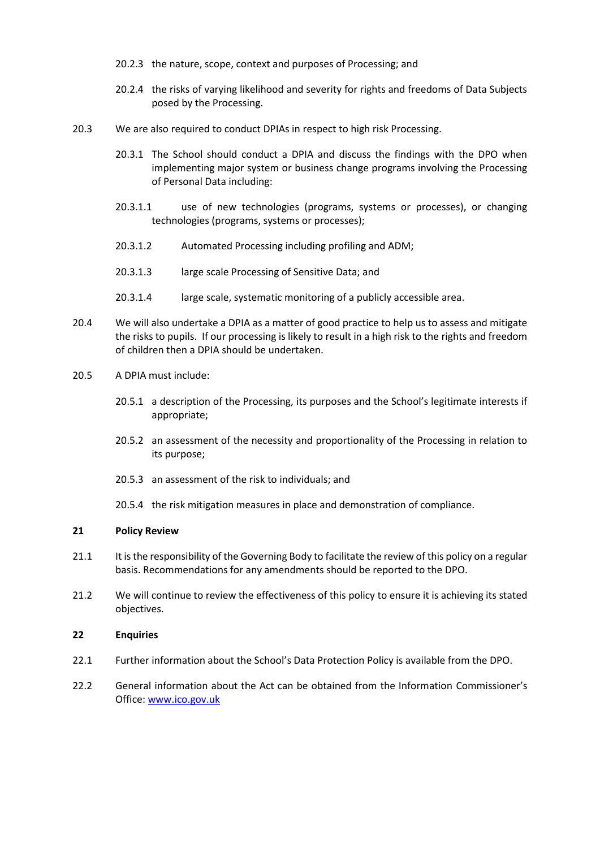- 20.2.3 the nature, scope, context and purposes of Processing; and
- 20.2.4 the risks of varying likelihood and severity for rights and freedoms of Data Subjects posed by the Processing.
- 20.3 We are also required to conduct DPIAs in respect to high risk Processing.
	- 20.3.1 The School should conduct a DPIA and discuss the findings with the DPO when implementing major system or business change programs involving the Processing of Personal Data including:
	- 20.3.1.1 use of new technologies (programs, systems or processes), or changing technologies (programs, systems or processes);
	- 20.3.1.2 Automated Processing including profiling and ADM;
	- 20.3.1.3 large scale Processing of Sensitive Data; and
	- 20.3.1.4 large scale, systematic monitoring of a publicly accessible area.
- 20.4 We will also undertake a DPIA as a matter of good practice to help us to assess and mitigate the risks to pupils. If our processing is likely to result in a high risk to the rights and freedom of children then a DPIA should be undertaken.
- 20.5 A DPIA must include:
	- 20.5.1 a description of the Processing, its purposes and the School's legitimate interests if appropriate;
	- 20.5.2 an assessment of the necessity and proportionality of the Processing in relation to its purpose;
	- 20.5.3 an assessment of the risk to individuals; and
	- 20.5.4 the risk mitigation measures in place and demonstration of compliance.

#### **21 Policy Review**

- 21.1 It is the responsibility of the Governing Body to facilitate the review of this policy on a regular basis. Recommendations for any amendments should be reported to the DPO.
- 21.2 We will continue to review the effectiveness of this policy to ensure it is achieving its stated objectives.

#### **22 Enquiries**

- 22.1 Further information about the School's Data Protection Policy is available from the DPO.
- 22.2 General information about the Act can be obtained from the Information Commissioner's Office[: www.ico.gov.uk](http://www.ico.gov.uk/)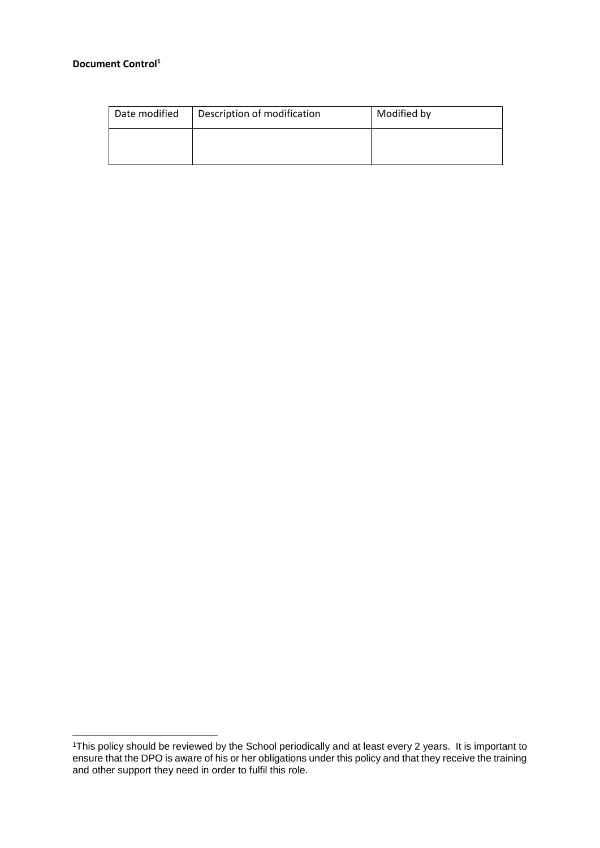# **Document Control<sup>1</sup>**

 $\overline{a}$ 

| Date modified | Description of modification | Modified by |
|---------------|-----------------------------|-------------|
|               |                             |             |

<sup>1</sup>This policy should be reviewed by the School periodically and at least every 2 years. It is important to ensure that the DPO is aware of his or her obligations under this policy and that they receive the training and other support they need in order to fulfil this role.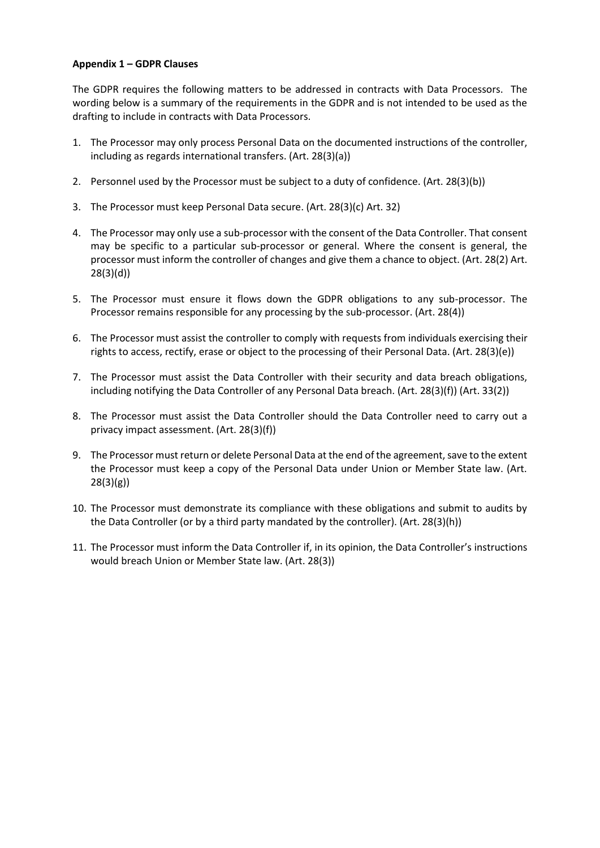# **Appendix 1 – GDPR Clauses**

The GDPR requires the following matters to be addressed in contracts with Data Processors. The wording below is a summary of the requirements in the GDPR and is not intended to be used as the drafting to include in contracts with Data Processors.

- 1. The Processor may only process Personal Data on the documented instructions of the controller, including as regards international transfers. (Art. 28(3)(a))
- 2. Personnel used by the Processor must be subject to a duty of confidence. (Art. 28(3)(b))
- 3. The Processor must keep Personal Data secure. (Art. 28(3)(c) Art. 32)
- 4. The Processor may only use a sub-processor with the consent of the Data Controller. That consent may be specific to a particular sub-processor or general. Where the consent is general, the processor must inform the controller of changes and give them a chance to object. (Art. 28(2) Art. 28(3)(d))
- 5. The Processor must ensure it flows down the GDPR obligations to any sub-processor. The Processor remains responsible for any processing by the sub-processor. (Art. 28(4))
- 6. The Processor must assist the controller to comply with requests from individuals exercising their rights to access, rectify, erase or object to the processing of their Personal Data. (Art. 28(3)(e))
- 7. The Processor must assist the Data Controller with their security and data breach obligations, including notifying the Data Controller of any Personal Data breach. (Art. 28(3)(f)) (Art. 33(2))
- 8. The Processor must assist the Data Controller should the Data Controller need to carry out a privacy impact assessment. (Art. 28(3)(f))
- 9. The Processor must return or delete Personal Data at the end of the agreement, save to the extent the Processor must keep a copy of the Personal Data under Union or Member State law. (Art. 28(3)(g))
- 10. The Processor must demonstrate its compliance with these obligations and submit to audits by the Data Controller (or by a third party mandated by the controller). (Art. 28(3)(h))
- 11. The Processor must inform the Data Controller if, in its opinion, the Data Controller's instructions would breach Union or Member State law. (Art. 28(3))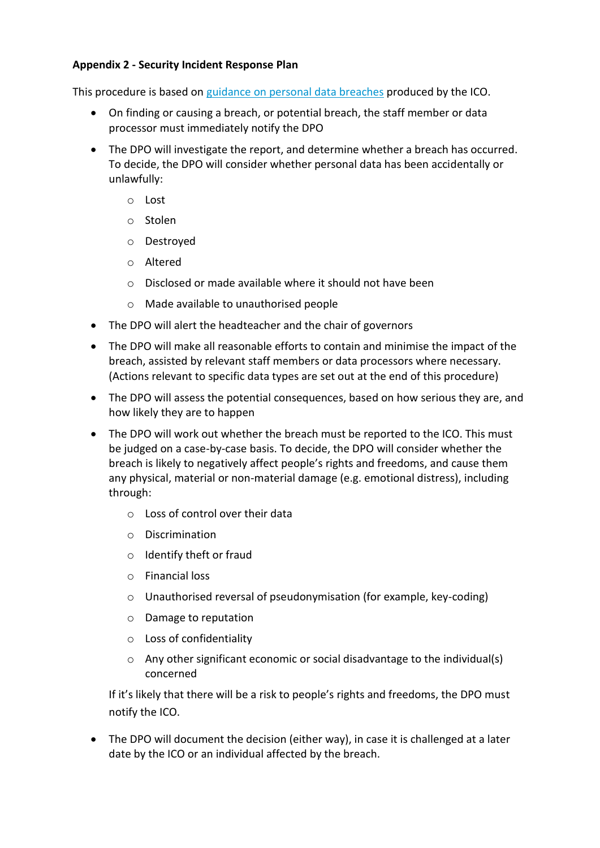# **Appendix 2 - Security Incident Response Plan**

This procedure is based on [guidance on personal data breaches](https://ico.org.uk/for-organisations/guide-to-the-general-data-protection-regulation-gdpr/personal-data-breaches/) produced by the ICO.

- On finding or causing a breach, or potential breach, the staff member or data processor must immediately notify the DPO
- The DPO will investigate the report, and determine whether a breach has occurred. To decide, the DPO will consider whether personal data has been accidentally or unlawfully:
	- o Lost
	- o Stolen
	- o Destroyed
	- o Altered
	- $\circ$  Disclosed or made available where it should not have been
	- o Made available to unauthorised people
- The DPO will alert the headteacher and the chair of governors
- The DPO will make all reasonable efforts to contain and minimise the impact of the breach, assisted by relevant staff members or data processors where necessary. (Actions relevant to specific data types are set out at the end of this procedure)
- The DPO will assess the potential consequences, based on how serious they are, and how likely they are to happen
- The DPO will work out whether the breach must be reported to the ICO. This must be judged on a case-by-case basis. To decide, the DPO will consider whether the breach is likely to negatively affect people's rights and freedoms, and cause them any physical, material or non-material damage (e.g. emotional distress), including through:
	- o Loss of control over their data
	- o Discrimination
	- o Identify theft or fraud
	- o Financial loss
	- o Unauthorised reversal of pseudonymisation (for example, key-coding)
	- o Damage to reputation
	- o Loss of confidentiality
	- o Any other significant economic or social disadvantage to the individual(s) concerned

If it's likely that there will be a risk to people's rights and freedoms, the DPO must notify the ICO.

 The DPO will document the decision (either way), in case it is challenged at a later date by the ICO or an individual affected by the breach.